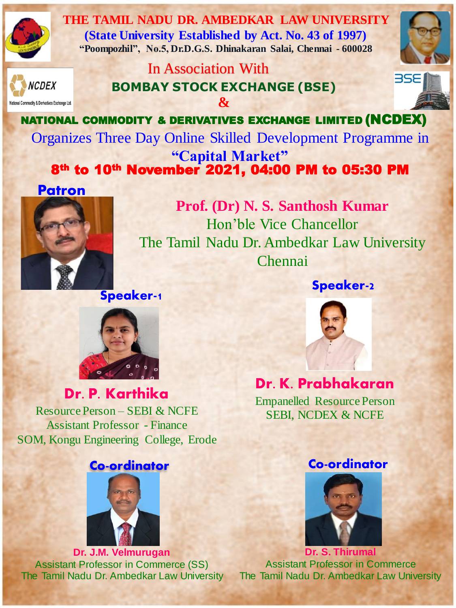

**THE TAMIL NADU DR. AMBEDKAR LAW UNIVERSITY (State University Established by Act. No. 43 of 1997) "Poompozhil", No.5, Dr.D.G.S. Dhinakaran Salai, Chennai - 600028**

**CDEX** 

dity & Derivatives Exchange Ltd.

**BOMBAY STOCK EXCHANGE (BSE) &** In Association With



NATIONAL COMMODITY & DERIVATIVES EXCHANGE LIMITED (NCDEX) 8th to 10th November 2021, 04:00 PM to 05:30 PM Organizes Three Day Online Skilled Development Programme in **"Capital Market"**

## **Patron**



**Prof. (Dr) N. S. Santhosh Kumar** Hon'ble Vice Chancellor The Tamil Nadu Dr. Ambedkar Law University Chennai

**Speaker-1**

#### **Speaker-2**



**Dr. P. Karthika**

Resource Person – SEBI & NCFE Assistant Professor - Finance SOM, Kongu Engineering College, Erode



**Dr. J.M. Velmurugan** Assistant Professor in Commerce (SS) The Tamil Nadu Dr. Ambedkar Law University



## **Dr. K. Prabhakaran**

Empanelled Resource Person SEBI, NCDEX & NCFE

#### **Co-ordinator Co-ordinator**



**Dr. S. Thirumal** Assistant Professor in Commerce The Tamil Nadu Dr. Ambedkar Law University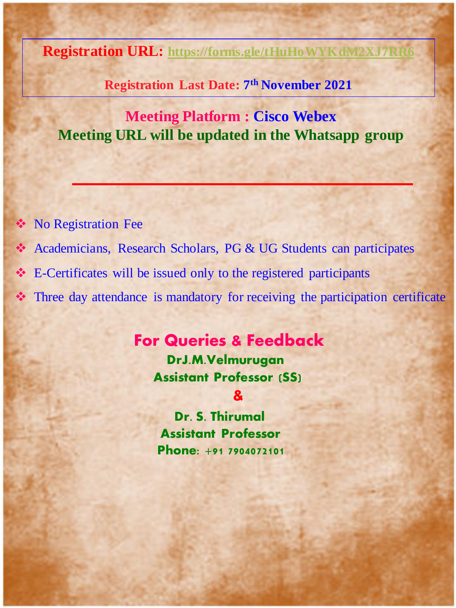**Registration URL: <https://forms.gle/tHuHoWYKdM2XJ7RR6>**

**Registration Last Date: 7 th November 2021**

## **Meeting Platform : Cisco Webex Meeting URL will be updated in the Whatsapp group**

- ❖ No Registration Fee
- ❖ Academicians, Research Scholars, PG & UG Students can participates
- ❖ E-Certificates will be issued only to the registered participants
- ❖ Three day attendance is mandatory for receiving the participation certificate

## **For Queries & Feedback**

**DrJ.M.Velmurugan Assistant Professor (SS)**

#### **&**

**Dr. S. Thirumal Assistant Professor Phone: +91 7904072101**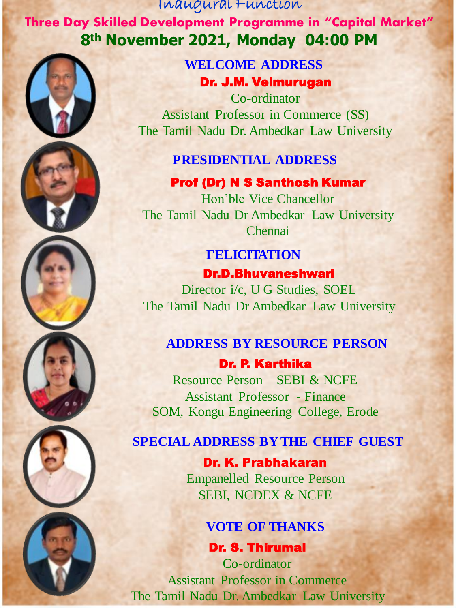Inaugural Function **Three Day Skilled Development Programme in "Capital Market" 8th November 2021, Monday 04:00 PM** 



Dr. J.M. Velmurugan **WELCOME ADDRESS**

Co-ordinator Assistant Professor in Commerce (SS) The Tamil Nadu Dr. Ambedkar Law University

#### **PRESIDENTIAL ADDRESS**

Prof (Dr) N S Santhosh Kumar Hon'ble Vice Chancellor The Tamil Nadu Dr Ambedkar Law University **Chennai** 

## Dr.D.Bhuvaneshwari **FELICITATION**

Director i/c, U G Studies, SOEL The Tamil Nadu Dr Ambedkar Law University

## **ADDRESS BY RESOURCE PERSON**

Dr. P. Karthika Resource Person – SEBI & NCFE Assistant Professor - Finance SOM, Kongu Engineering College, Erode

### **SPECIAL ADDRESS BY THE CHIEF GUEST**

Dr. K. Prabhakaran Empanelled Resource Person SEBI, NCDEX & NCFE

#### **VOTE OF THANKS**

Dr. S. Thirumal Co-ordinator Assistant Professor in Commerce The Tamil Nadu Dr. Ambedkar Law University